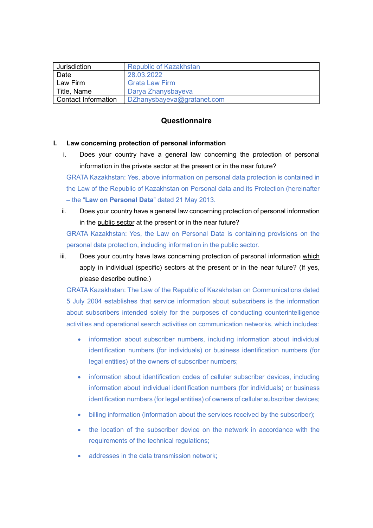| Jurisdiction               | <b>Republic of Kazakhstan</b> |
|----------------------------|-------------------------------|
| Date                       | 28.03.2022                    |
| Law Firm                   | <b>Grata Law Firm</b>         |
| Title, Name                | Darya Zhanysbayeva            |
| <b>Contact Information</b> | DZhanysbayeva@gratanet.com    |

# **Questionnaire**

## **I. Law concerning protection of personal information**

i. Does your country have a general law concerning the protection of personal information in the private sector at the present or in the near future?

GRATA Kazakhstan: Yes, above information on personal data protection is contained in the Law of the Republic of Kazakhstan on Personal data and its Protection (hereinafter – the "**Law on Personal Data**" dated 21 May 2013.

ii. Does your country have a general law concerning protection of personal information in the public sector at the present or in the near future?

GRATA Kazakhstan: Yes, the Law on Personal Data is containing provisions on the personal data protection, including information in the public sector.

iii. Does your country have laws concerning protection of personal information which apply in individual (specific) sectors at the present or in the near future? (If yes, please describe outline.)

GRATA Kazakhstan: The Law of the Republic of Kazakhstan on Communications dated 5 July 2004 establishes that service information about subscribers is the information about subscribers intended solely for the purposes of conducting counterintelligence activities and operational search activities on communication networks, which includes:

- information about subscriber numbers, including information about individual identification numbers (for individuals) or business identification numbers (for legal entities) of the owners of subscriber numbers;
- information about identification codes of cellular subscriber devices, including information about individual identification numbers (for individuals) or business identification numbers (for legal entities) of owners of cellular subscriber devices;
- billing information (information about the services received by the subscriber);
- the location of the subscriber device on the network in accordance with the requirements of the technical regulations;
- addresses in the data transmission network: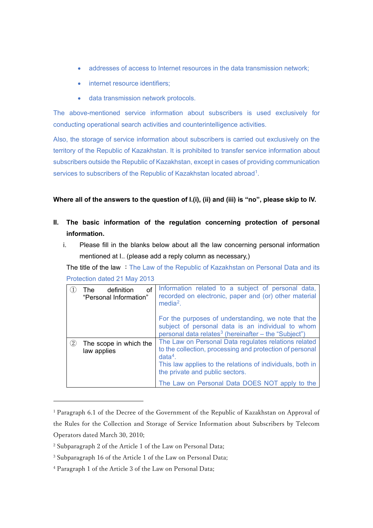- addresses of access to Internet resources in the data transmission network;
- internet resource identifiers;
- data transmission network protocols.

The above-mentioned service information about subscribers is used exclusively for conducting operational search activities and counterintelligence activities.

Also, the storage of service information about subscribers is carried out exclusively on the territory of the Republic of Kazakhstan. It is prohibited to transfer service information about subscribers outside the Republic of Kazakhstan, except in cases of providing communication services to subscribers of the Republic of Kazakhstan located abroad<sup>[1](#page-1-0)</sup>.

**Where all of the answers to the question of I.(i), (ii) and (iii) is "no", please skip to IV.**

- **II. The basic information of the regulation concerning protection of personal information.**
	- i. Please fill in the blanks below about all the law concerning personal information mentioned at I.. (please add a reply column as necessary,)

The title of the law : The Law of the Republic of Kazakhstan on Personal Data and its Protection dated 21 May 2013

|                   | οf<br>definition<br>The .<br>"Personal Information" | Information related to a subject of personal data,<br>recorded on electronic, paper and (or) other material<br>$media2$ .<br>For the purposes of understanding, we note that the<br>subject of personal data is an individual to whom<br>personal data relates <sup>3</sup> (hereinafter $-$ the "Subject") |
|-------------------|-----------------------------------------------------|-------------------------------------------------------------------------------------------------------------------------------------------------------------------------------------------------------------------------------------------------------------------------------------------------------------|
| $\left( 2\right)$ | The scope in which the<br>law applies               | The Law on Personal Data regulates relations related<br>to the collection, processing and protection of personal<br>$data4$ .<br>This law applies to the relations of individuals, both in<br>the private and public sectors.                                                                               |
|                   |                                                     | The Law on Personal Data DOES NOT apply to the                                                                                                                                                                                                                                                              |

<span id="page-1-0"></span><sup>&</sup>lt;sup>1</sup> Paragraph 6.1 of the Decree of the Government of the Republic of Kazakhstan on Approval of the Rules for the Collection and Storage of Service Information about Subscribers by Telecom Operators dated March 30, 2010;

<span id="page-1-1"></span><sup>2</sup> Subparagraph 2 of the Article 1 of the Law on Personal Data;

<span id="page-1-2"></span><sup>3</sup> Subparagraph 16 of the Article 1 of the Law on Personal Data;

<span id="page-1-3"></span><sup>4</sup> Paragraph 1 of the Article 3 of the Law on Personal Data;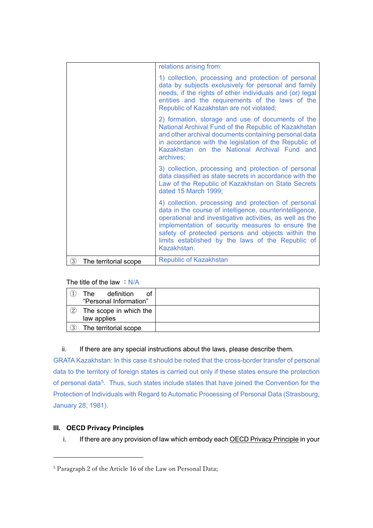|                            | relations arising from:                                                                                                                                                                                                                                                                                                                                     |
|----------------------------|-------------------------------------------------------------------------------------------------------------------------------------------------------------------------------------------------------------------------------------------------------------------------------------------------------------------------------------------------------------|
|                            | 1) collection, processing and protection of personal<br>data by subjects exclusively for personal and family<br>needs, if the rights of other individuals and (or) legal<br>entities and the requirements of the laws of the<br>Republic of Kazakhstan are not violated;                                                                                    |
|                            | 2) formation, storage and use of documents of the<br>National Archival Fund of the Republic of Kazakhstan<br>and other archival documents containing personal data<br>in accordance with the legislation of the Republic of<br>Kazakhstan on the National Archival Fund and<br>archives;                                                                    |
|                            | 3) collection, processing and protection of personal<br>data classified as state secrets in accordance with the<br>Law of the Republic of Kazakhstan on State Secrets<br>dated 15 March 1999;                                                                                                                                                               |
|                            | 4) collection, processing and protection of personal<br>data in the course of intelligence, counterintelligence,<br>operational and investigative activities, as well as the<br>implementation of security measures to ensure the<br>safety of protected persons and objects within the<br>limits established by the laws of the Republic of<br>Kazakhstan. |
| ③<br>The territorial scope | <b>Republic of Kazakhstan</b>                                                                                                                                                                                                                                                                                                                               |

The title of the law  $:N/A$ 

|                  | definition<br>οf<br>The<br>"Personal Information" |  |
|------------------|---------------------------------------------------|--|
| (2)              | The scope in which the<br>law applies             |  |
| $\left(3\right)$ | The territorial scope                             |  |

## ii. If there are any special instructions about the laws, please describe them.

GRATA Kazakhstan: In this case it should be noted that the cross-border transfer of personal data to the territory of foreign states is carried out only if these states ensure the protection of personal data<sup>[5](#page-2-0)</sup>. Thus, such states include states that have joined the Convention for the Protection of Individuals with Regard to Automatic Processing of Personal Data (Strasbourg, January 28, 1981).

## **III. OECD Privacy Principles**

i. If there are any provision of law which embody each OECD Privacy Principle in your

<span id="page-2-0"></span><sup>5</sup> Paragraph 2 of the Article 16 of the Law on Personal Data;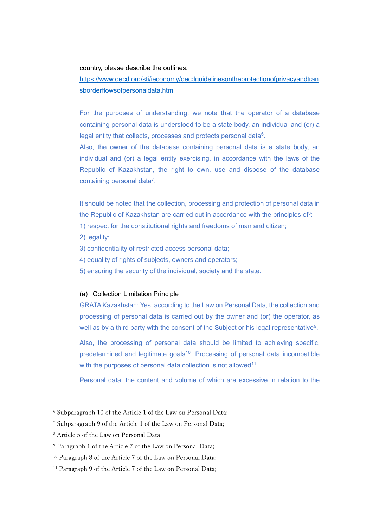#### country, please describe the outlines.

[https://www.oecd.org/sti/ieconomy/oecdguidelinesontheprotectionofprivacyandtran](https://www.oecd.org/sti/ieconomy/oecdguidelinesontheprotectionofprivacyandtransborderflowsofpersonaldata.htm) [sborderflowsofpersonaldata.htm](https://www.oecd.org/sti/ieconomy/oecdguidelinesontheprotectionofprivacyandtransborderflowsofpersonaldata.htm)

For the purposes of understanding, we note that the operator of a database containing personal data is understood to be a state body, an individual and (or) a legal entity that collects, processes and protects personal data<sup>6</sup>.

Also, the owner of the database containing personal data is a state body, an individual and (or) a legal entity exercising, in accordance with the laws of the Republic of Kazakhstan, the right to own, use and dispose of the database containing personal data[7.](#page-3-1)

It should be noted that the collection, processing and protection of personal data in the Republic of Kazakhstan are carried out in accordance with the principles of $8$ :

1) respect for the constitutional rights and freedoms of man and citizen;

2) legality;

3) confidentiality of restricted access personal data;

- 4) equality of rights of subjects, owners and operators;
- 5) ensuring the security of the individual, society and the state.

#### (a) Collection Limitation Principle

GRATA Kazakhstan: Yes, according to the Law on Personal Data, the collection and processing of personal data is carried out by the owner and (or) the operator, as well as by a third party with the consent of the Subject or his legal representative<sup>[9](#page-3-3)</sup>.

Also, the processing of personal data should be limited to achieving specific, predetermined and legitimate goals<sup>[10](#page-3-4)</sup>. Processing of personal data incompatible with the purposes of personal data collection is not allowed<sup>11</sup>.

Personal data, the content and volume of which are excessive in relation to the

<span id="page-3-0"></span><sup>6</sup> Subparagraph 10 of the Article 1 of the Law on Personal Data;

<span id="page-3-1"></span><sup>7</sup> Subparagraph 9 of the Article 1 of the Law on Personal Data;

<span id="page-3-2"></span><sup>8</sup> Article 5 of the Law on Personal Data

<span id="page-3-3"></span><sup>9</sup> Paragraph 1 of the Article 7 of the Law on Personal Data;

<span id="page-3-4"></span><sup>&</sup>lt;sup>10</sup> Paragraph 8 of the Article 7 of the Law on Personal Data;

<span id="page-3-5"></span><sup>&</sup>lt;sup>11</sup> Paragraph 9 of the Article 7 of the Law on Personal Data;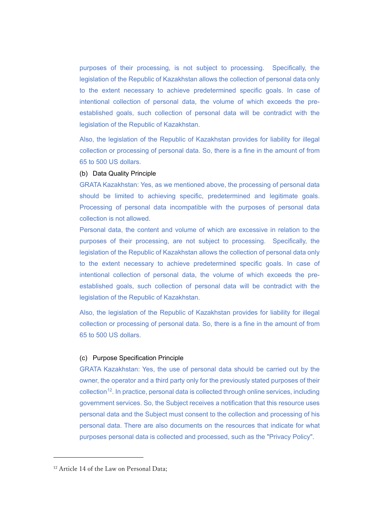purposes of their processing, is not subject to processing. Specifically, the legislation of the Republic of Kazakhstan allows the collection of personal data only to the extent necessary to achieve predetermined specific goals. In case of intentional collection of personal data, the volume of which exceeds the preestablished goals, such collection of personal data will be contradict with the legislation of the Republic of Kazakhstan.

Also, the legislation of the Republic of Kazakhstan provides for liability for illegal collection or processing of personal data. So, there is a fine in the amount of from 65 to 500 US dollars.

#### (b) Data Quality Principle

GRATA Kazakhstan: Yes, as we mentioned above, the processing of personal data should be limited to achieving specific, predetermined and legitimate goals. Processing of personal data incompatible with the purposes of personal data collection is not allowed.

Personal data, the content and volume of which are excessive in relation to the purposes of their processing, are not subject to processing. Specifically, the legislation of the Republic of Kazakhstan allows the collection of personal data only to the extent necessary to achieve predetermined specific goals. In case of intentional collection of personal data, the volume of which exceeds the preestablished goals, such collection of personal data will be contradict with the legislation of the Republic of Kazakhstan.

Also, the legislation of the Republic of Kazakhstan provides for liability for illegal collection or processing of personal data. So, there is a fine in the amount of from 65 to 500 US dollars.

#### (c) Purpose Specification Principle

GRATA Kazakhstan: Yes, the use of personal data should be carried out by the owner, the operator and a third party only for the previously stated purposes of their collection<sup>[12](#page-4-0)</sup>. In practice, personal data is collected through online services, including government services. So, the Subject receives a notification that this resource uses personal data and the Subject must consent to the collection and processing of his personal data. There are also documents on the resources that indicate for what purposes personal data is collected and processed, such as the "Privacy Policy".

<span id="page-4-0"></span><sup>&</sup>lt;sup>12</sup> Article 14 of the Law on Personal Data;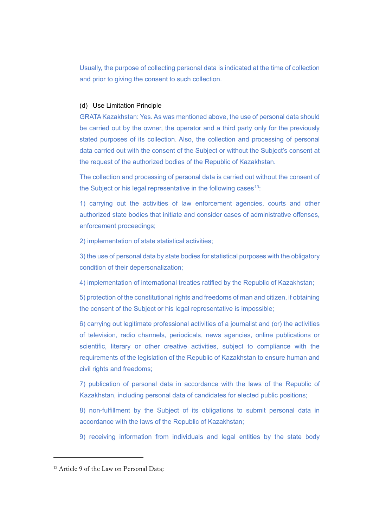Usually, the purpose of collecting personal data is indicated at the time of collection and prior to giving the consent to such collection.

### (d) Use Limitation Principle

GRATA Kazakhstan: Yes. As was mentioned above, the use of personal data should be carried out by the owner, the operator and a third party only for the previously stated purposes of its collection. Also, the collection and processing of personal data carried out with the consent of the Subject or without the Subject's consent at the request of the authorized bodies of the Republic of Kazakhstan.

The collection and processing of personal data is carried out without the consent of the Subject or his legal representative in the following cases<sup>13</sup>:

1) carrying out the activities of law enforcement agencies, courts and other authorized state bodies that initiate and consider cases of administrative offenses, enforcement proceedings;

2) implementation of state statistical activities;

3) the use of personal data by state bodies for statistical purposes with the obligatory condition of their depersonalization;

4) implementation of international treaties ratified by the Republic of Kazakhstan;

5) protection of the constitutional rights and freedoms of man and citizen, if obtaining the consent of the Subject or his legal representative is impossible;

6) carrying out legitimate professional activities of a journalist and (or) the activities of television, radio channels, periodicals, news agencies, online publications or scientific, literary or other creative activities, subject to compliance with the requirements of the legislation of the Republic of Kazakhstan to ensure human and civil rights and freedoms;

7) publication of personal data in accordance with the laws of the Republic of Kazakhstan, including personal data of candidates for elected public positions;

8) non-fulfillment by the Subject of its obligations to submit personal data in accordance with the laws of the Republic of Kazakhstan;

9) receiving information from individuals and legal entities by the state body

<span id="page-5-0"></span><sup>&</sup>lt;sup>13</sup> Article 9 of the Law on Personal Data;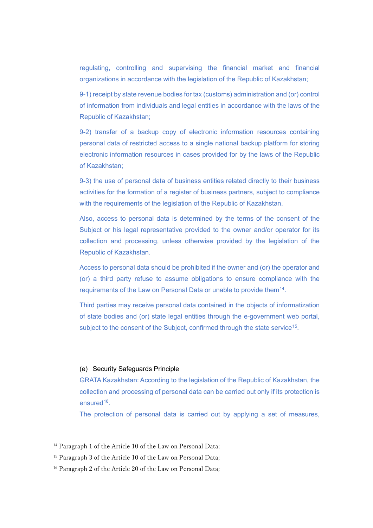regulating, controlling and supervising the financial market and financial organizations in accordance with the legislation of the Republic of Kazakhstan;

9-1) receipt by state revenue bodies for tax (customs) administration and (or) control of information from individuals and legal entities in accordance with the laws of the Republic of Kazakhstan;

9-2) transfer of a backup copy of electronic information resources containing personal data of restricted access to a single national backup platform for storing electronic information resources in cases provided for by the laws of the Republic of Kazakhstan;

9-3) the use of personal data of business entities related directly to their business activities for the formation of a register of business partners, subject to compliance with the requirements of the legislation of the Republic of Kazakhstan.

Also, access to personal data is determined by the terms of the consent of the Subject or his legal representative provided to the owner and/or operator for its collection and processing, unless otherwise provided by the legislation of the Republic of Kazakhstan.

Access to personal data should be prohibited if the owner and (or) the operator and (or) a third party refuse to assume obligations to ensure compliance with the requirements of the Law on Personal Data or unable to provide them<sup>14</sup>.

Third parties may receive personal data contained in the objects of informatization of state bodies and (or) state legal entities through the e-government web portal, subject to the consent of the Subject, confirmed through the state service<sup>[15](#page-6-1)</sup>.

#### (e) Security Safeguards Principle

GRATA Kazakhstan: According to the legislation of the Republic of Kazakhstan, the collection and processing of personal data can be carried out only if its protection is ensured<sup>16</sup>.

The protection of personal data is carried out by applying a set of measures,

<span id="page-6-0"></span><sup>&</sup>lt;sup>14</sup> Paragraph 1 of the Article 10 of the Law on Personal Data;

<span id="page-6-1"></span><sup>&</sup>lt;sup>15</sup> Paragraph 3 of the Article 10 of the Law on Personal Data;

<span id="page-6-2"></span><sup>&</sup>lt;sup>16</sup> Paragraph 2 of the Article 20 of the Law on Personal Data;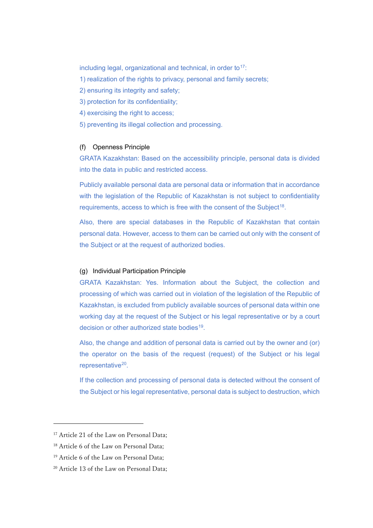including legal, organizational and technical, in order to $17$ :

- 1) realization of the rights to privacy, personal and family secrets;
- 2) ensuring its integrity and safety;
- 3) protection for its confidentiality;
- 4) exercising the right to access;
- 5) preventing its illegal collection and processing.

## (f) Openness Principle

GRATA Kazakhstan: Based on the accessibility principle, personal data is divided into the data in public and restricted access.

Publicly available personal data are personal data or information that in accordance with the legislation of the Republic of Kazakhstan is not subject to confidentiality requirements, access to which is free with the consent of the Subject<sup>18</sup>.

Also, there are special databases in the Republic of Kazakhstan that contain personal data. However, access to them can be carried out only with the consent of the Subject or at the request of authorized bodies.

## (g) Individual Participation Principle

GRATA Kazakhstan: Yes. Information about the Subject, the collection and processing of which was carried out in violation of the legislation of the Republic of Kazakhstan, is excluded from publicly available sources of personal data within one working day at the request of the Subject or his legal representative or by a court decision or other authorized state bodies<sup>[19](#page-7-2)</sup>.

Also, the change and addition of personal data is carried out by the owner and (or) the operator on the basis of the request (request) of the Subject or his legal representative<sup>20</sup>.

If the collection and processing of personal data is detected without the consent of the Subject or his legal representative, personal data is subject to destruction, which

<span id="page-7-0"></span><sup>&</sup>lt;sup>17</sup> Article 21 of the Law on Personal Data:

<span id="page-7-1"></span><sup>18</sup> Article 6 of the Law on Personal Data;

<span id="page-7-2"></span><sup>19</sup> Article 6 of the Law on Personal Data;

<span id="page-7-3"></span><sup>20</sup> Article 13 of the Law on Personal Data;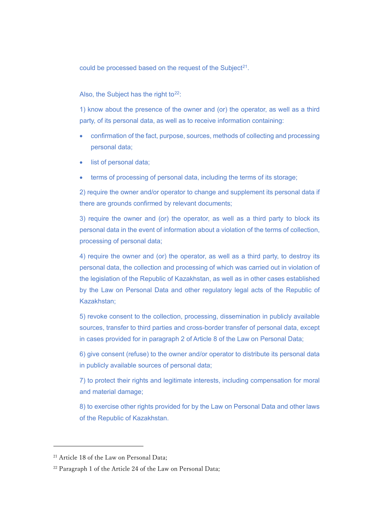could be processed based on the request of the Subject<sup>21</sup>.

### Also, the Subject has the right to $22$ :

1) know about the presence of the owner and (or) the operator, as well as a third party, of its personal data, as well as to receive information containing:

- confirmation of the fact, purpose, sources, methods of collecting and processing personal data;
- list of personal data:
- terms of processing of personal data, including the terms of its storage;

2) require the owner and/or operator to change and supplement its personal data if there are grounds confirmed by relevant documents;

3) require the owner and (or) the operator, as well as a third party to block its personal data in the event of information about a violation of the terms of collection, processing of personal data;

4) require the owner and (or) the operator, as well as a third party, to destroy its personal data, the collection and processing of which was carried out in violation of the legislation of the Republic of Kazakhstan, as well as in other cases established by the Law on Personal Data and other regulatory legal acts of the Republic of Kazakhstan;

5) revoke consent to the collection, processing, dissemination in publicly available sources, transfer to third parties and cross-border transfer of personal data, except in cases provided for in paragraph 2 of Article 8 of the Law on Personal Data;

6) give consent (refuse) to the owner and/or operator to distribute its personal data in publicly available sources of personal data;

7) to protect their rights and legitimate interests, including compensation for moral and material damage;

8) to exercise other rights provided for by the Law on Personal Data and other laws of the Republic of Kazakhstan.

<span id="page-8-0"></span><sup>&</sup>lt;sup>21</sup> Article 18 of the Law on Personal Data:

<span id="page-8-1"></span><sup>&</sup>lt;sup>22</sup> Paragraph 1 of the Article 24 of the Law on Personal Data;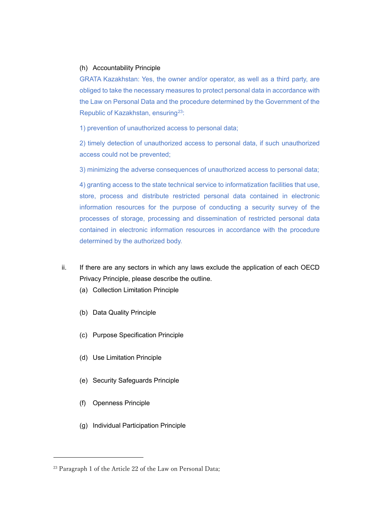#### (h) Accountability Principle

GRATA Kazakhstan: Yes, the owner and/or operator, as well as a third party, are obliged to take the necessary measures to protect personal data in accordance with the Law on Personal Data and the procedure determined by the Government of the Republic of Kazakhstan, ensuring<sup>23</sup>:

1) prevention of unauthorized access to personal data;

2) timely detection of unauthorized access to personal data, if such unauthorized access could not be prevented;

3) minimizing the adverse consequences of unauthorized access to personal data;

4) granting access to the state technical service to informatization facilities that use, store, process and distribute restricted personal data contained in electronic information resources for the purpose of conducting a security survey of the processes of storage, processing and dissemination of restricted personal data contained in electronic information resources in accordance with the procedure determined by the authorized body.

- ii. If there are any sectors in which any laws exclude the application of each OECD Privacy Principle, please describe the outline.
	- (a) Collection Limitation Principle
	- (b) Data Quality Principle
	- (c) Purpose Specification Principle
	- (d) Use Limitation Principle
	- (e) Security Safeguards Principle
	- (f) Openness Principle
	- (g) Individual Participation Principle

<span id="page-9-0"></span><sup>&</sup>lt;sup>23</sup> Paragraph 1 of the Article 22 of the Law on Personal Data;